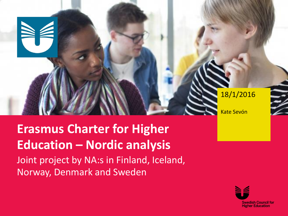#### 18/1/2016

Kate Sevón

# **Erasmus Charter for Higher Education – Nordic analysis**

Joint project by NA:s in Finland, Iceland, Norway, Denmark and Sweden

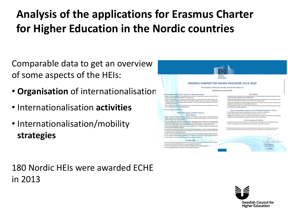## **Analysis of the applications for Erasmus Charter for Higher Education in the Nordic countries**

Comparable data to get an overview of some aspects of the HEIs:

- **Organisation** of internationalisation
- Internationalisation **activities**
- Internationalisation/mobility **strategies**

**ERASMUS CHARTER FOR HIGHER EDUCATION 2014-2020** The European Commission hereby awards this Charter to: **GÖTERORGS UNIVERSITET** The Institution undertakes to respect the following principles: After Mobility . Respect in full the principles of non-discrimination set out in the Programme and ensure equal access and<br>opportunities to mobile participants from all backgrounds. + Accept all activities indicated in the learning agreement as counting towards the degree. p been satisfactorily completed by the mobile students. been salistationly completed by the modes students.<br>
+ Provide incoming mobile participants and their home institutions with transcripts containing a full, accurate<br>
and timely record of their achievements at the end of th Course full corporation for extinferencies completed presidier of study mobility and whose mercials, train for sainstactorsy completed activities or study modulity and, where possible, italian<br>idas awarded (ECTS or compatible system). Ensure the inclusion of satisfactorily<br>ir traineeship mobility activities in the final record leted study and / or trail bility, to incoming mobile students for tuition, registration, exarge no fees, in the case of c Ensure that staff are given recognition for their teaching and training activities undertaken dur atory and library far seriod, based on a mobility agreement. tion further undertakes to: - When Participating in European and International Cooperation Project . Ensure that cooperation leads to sustainable and balanced outcomes for all partners. - When Participating in Mobility Activities wide relevant support to staff and students participating in these activities. **Refore Mobility** . Exploit the results of the projects in a way that will maximise their impact on individuals and participatin atalogue on the website of the Institution well in advance<br>to all parties and allow mobile students to make well-inf institutions and encourage peer learning with the wider academic community. - For the Purposes of Visibility Carry out mobility only within the framework of pr . Display this Charter and the related Erasmus Policy Statement prominently on the Institution's website. es of the different parties, as well as their comive roles and re . Promote consistently activities supported by the Programme, along with their results. ared ouality criteria in the selection, on ion and integration of mobile participants .<br>On behalf of the Institution, I recognise that implementation of the Charter will be mo<br>of ony of the obove principles and commitments may lead to its withdrawal by the Ei ure that student and staff mobility f Provide assistance related to obtaining visas, when required, for incoming and outgoing mobile of ride assistance related to obtaining insurance, when required, for incoming and outg . Provide guidance to incoming mobile participants in finding accommodation **During Mobility** + Ensure equal academic treatment and services for home students and staff and in - total exposure incoming mobile participants into the Institution's everyday life.<br>+ Integrate incoming mobile participants into the Institution's everyday life.<br>+ Have in place appropriate mentoring and support arrangeme

+ Provide appropriate linguistic support to incoming mobile participants.



S GOTERORD

180 Nordic HEIs were awarded ECHE in 2013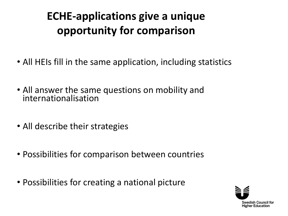## **ECHE-applications give a unique opportunity for comparison**

- All HEIs fill in the same application, including statistics
- All answer the same questions on mobility and internationalisation
- All describe their strategies
- Possibilities for comparison between countries
- Possibilities for creating a national picture

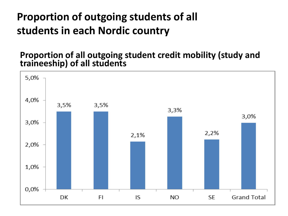## **Proportion of outgoing students of all students in each Nordic country**

#### **Proportion of all outgoing student credit mobility (study and traineeship) of all students**

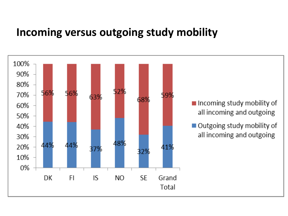#### **Incoming versus outgoing study mobility**

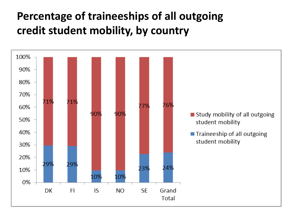## **Percentage of traineeships of all outgoing credit student mobility, by country**

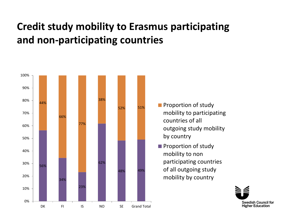#### **Credit study mobility to Erasmus participating and non-participating countries**



- **Proportion of study** mobility to participating countries of all outgoing study mobility by country
- **Proportion of study** mobility to non participating countries of all outgoing study mobility by country

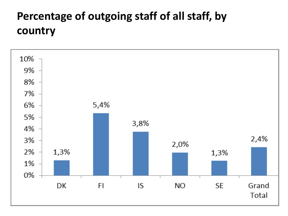## **Percentage of outgoing staff of all staff, by country**

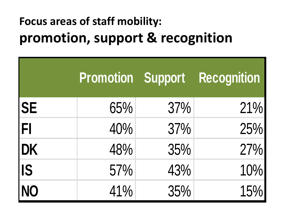## **Focus areas of staff mobility: promotion, support & recognition**

|                          |     |     | <b>Promotion Support Recognition</b> |
|--------------------------|-----|-----|--------------------------------------|
| $\overline{\mathsf{SE}}$ | 65% | 37% | 21%                                  |
|                          | 40% | 37% | 25%                                  |
| FI<br>DK<br>IS<br>INO    | 48% | 35% | 27%                                  |
|                          | 57% | 43% | 10%                                  |
|                          | 41% | 35% | 15%                                  |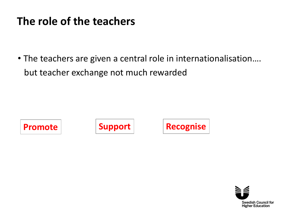#### **The role of the teachers**

• The teachers are given a central role in internationalisation…. but teacher exchange not much rewarded







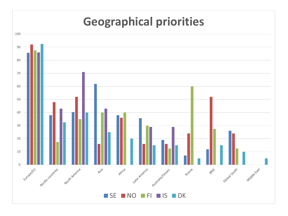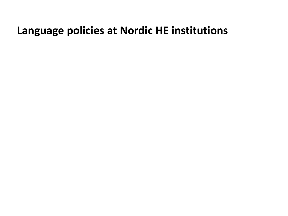#### **Language policies at Nordic HE institutions**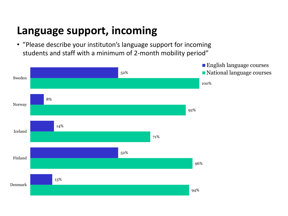#### **Language support, incoming**

• "Please describe your instituton's language support for incoming students and staff with a minimum of 2-month mobility period"

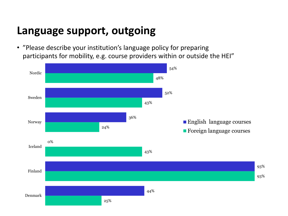#### **Language support, outgoing**

• "Please describe your institution's language policy for preparing participants for mobility, e.g. course providers within or outside the HEI"

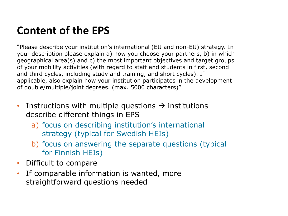## **Content of the EPS**

"Please describe your institution's international (EU and non-EU) strategy. In your description please explain a) how you choose your partners, b) in which geographical area(s) and c) the most important objectives and target groups of your mobility activities (with regard to staff and students in first, second and third cycles, including study and training, and short cycles). If applicable, also explain how your institution participates in the development of double/multiple/joint degrees. (max. 5000 characters)"

- Instructions with multiple questions  $\rightarrow$  institutions describe different things in EPS
	- a) focus on describing institution's international strategy (typical for Swedish HEIs)
	- b) focus on answering the separate questions (typical for Finnish HEIs)
- Difficult to compare
- If comparable information is wanted, more straightforward questions needed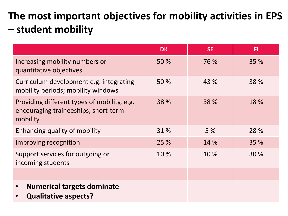## **The most important objectives for mobility activities in EPS – student mobility**

|                                                                                                 | <b>DK</b> | <b>SE</b> | F1   |
|-------------------------------------------------------------------------------------------------|-----------|-----------|------|
| Increasing mobility numbers or<br>quantitative objectives                                       | 50 %      | 76 %      | 35 % |
| Curriculum development e.g. integrating<br>mobility periods; mobility windows                   | 50 %      | 43 %      | 38 % |
| Providing different types of mobility, e.g.<br>encouraging traineeships, short-term<br>mobility | 38 %      | 38 %      | 18 % |
| Enhancing quality of mobility                                                                   | 31 %      | 5 %       | 28 % |
| Improving recognition                                                                           | 25 %      | 14 %      | 35 % |
| Support services for outgoing or<br>incoming students                                           | 10 %      | 10 %      | 30 % |
|                                                                                                 |           |           |      |
| <b>Numerical targets dominate</b><br>$\bullet$<br><b>Qualitative aspects?</b>                   |           |           |      |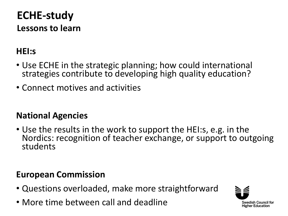## **ECHE-study Lessons to learn**

#### **HEI:s**

- Use ECHE in the strategic planning; how could international strategies contribute to developing high quality education?
- Connect motives and activities

#### **National Agencies**

• Use the results in the work to support the HEI:s, e.g. in the Nordics: recognition of teacher exchange, or support to outgoing students

#### **European Commission**

- Questions overloaded, make more straightforward
- More time between call and deadline